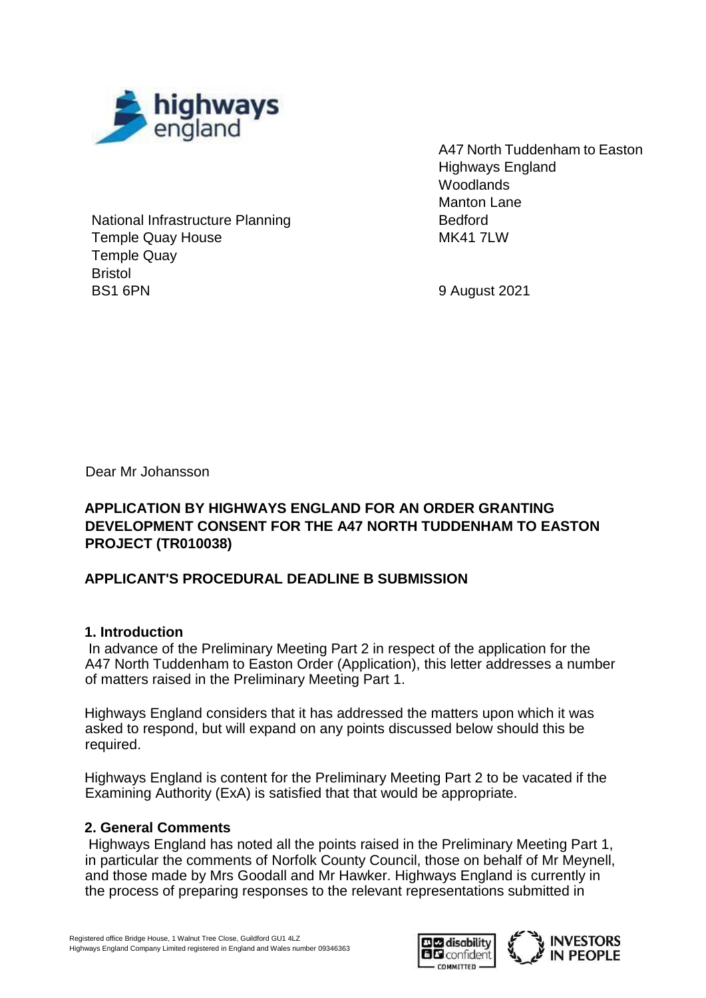

National Infrastructure Planning Temple Quay House Temple Quay Bristol BS1 6PN

A47 North Tuddenham to Easton Highways England **Woodlands** Manton Lane Bedford **MK41 7LW** 

9 August 2021

Dear Mr Johansson

### **APPLICATION BY HIGHWAYS ENGLAND FOR AN ORDER GRANTING DEVELOPMENT CONSENT FOR THE A47 NORTH TUDDENHAM TO EASTON PROJECT (TR010038)**

## **APPLICANT'S PROCEDURAL DEADLINE B SUBMISSION**

### **1. Introduction**

In advance of the Preliminary Meeting Part 2 in respect of the application for the A47 North Tuddenham to Easton Order (Application), this letter addresses a number of matters raised in the Preliminary Meeting Part 1.

Highways England considers that it has addressed the matters upon which it was asked to respond, but will expand on any points discussed below should this be required.

Highways England is content for the Preliminary Meeting Part 2 to be vacated if the Examining Authority (ExA) is satisfied that that would be appropriate.

### **2. General Comments**

Highways England has noted all the points raised in the Preliminary Meeting Part 1, in particular the comments of Norfolk County Council, those on behalf of Mr Meynell, and those made by Mrs Goodall and Mr Hawker. Highways England is currently in the process of preparing responses to the relevant representations submitted in



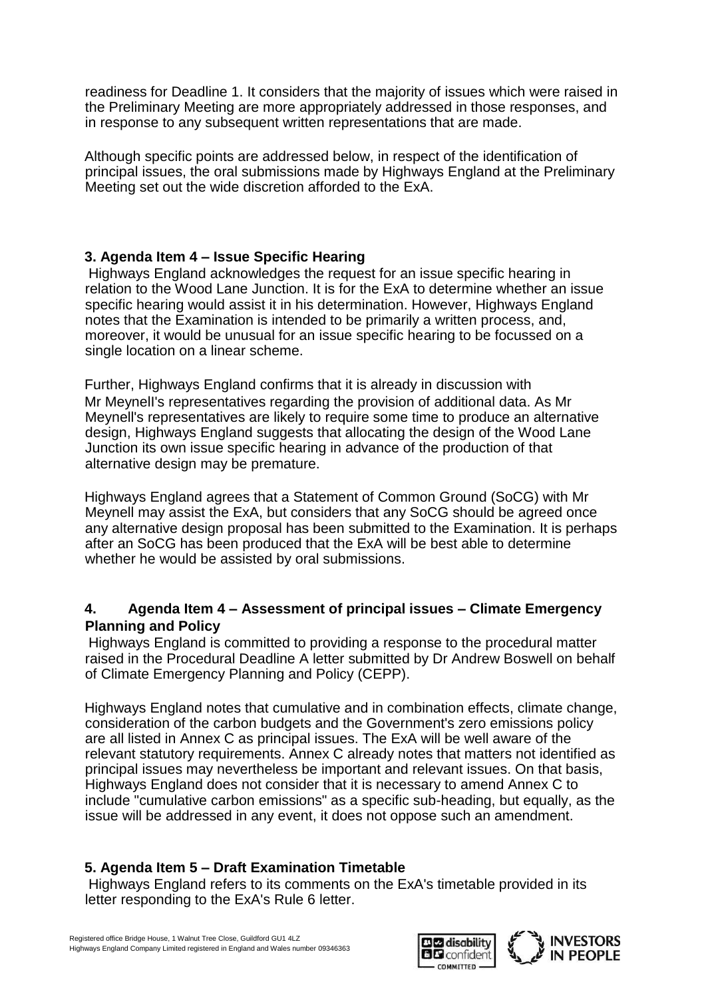readiness for Deadline 1. It considers that the majority of issues which were raised in the Preliminary Meeting are more appropriately addressed in those responses, and in response to any subsequent written representations that are made.

Although specific points are addressed below, in respect of the identification of principal issues, the oral submissions made by Highways England at the Preliminary Meeting set out the wide discretion afforded to the ExA.

## **3. Agenda Item 4 – Issue Specific Hearing**

Highways England acknowledges the request for an issue specific hearing in relation to the Wood Lane Junction. It is for the ExA to determine whether an issue specific hearing would assist it in his determination. However, Highways England notes that the Examination is intended to be primarily a written process, and, moreover, it would be unusual for an issue specific hearing to be focussed on a single location on a linear scheme.

Further, Highways England confirms that it is already in discussion with Mr MeynelI's representatives regarding the provision of additional data. As Mr Meynell's representatives are likely to require some time to produce an alternative design, Highways England suggests that allocating the design of the Wood Lane Junction its own issue specific hearing in advance of the production of that alternative design may be premature.

Highways England agrees that a Statement of Common Ground (SoCG) with Mr Meynell may assist the ExA, but considers that any SoCG should be agreed once any alternative design proposal has been submitted to the Examination. It is perhaps after an SoCG has been produced that the ExA will be best able to determine whether he would be assisted by oral submissions.

### **4. Agenda Item 4 – Assessment of principal issues – Climate Emergency Planning and Policy**

Highways England is committed to providing a response to the procedural matter raised in the Procedural Deadline A letter submitted by Dr Andrew Boswell on behalf of Climate Emergency Planning and Policy (CEPP).

Highways England notes that cumulative and in combination effects, climate change, consideration of the carbon budgets and the Government's zero emissions policy are all listed in Annex C as principal issues. The ExA will be well aware of the relevant statutory requirements. Annex C already notes that matters not identified as principal issues may nevertheless be important and relevant issues. On that basis, Highways England does not consider that it is necessary to amend Annex C to include "cumulative carbon emissions" as a specific sub-heading, but equally, as the issue will be addressed in any event, it does not oppose such an amendment.

## **5. Agenda Item 5 – Draft Examination Timetable**

Highways England refers to its comments on the ExA's timetable provided in its letter responding to the ExA's Rule 6 letter.



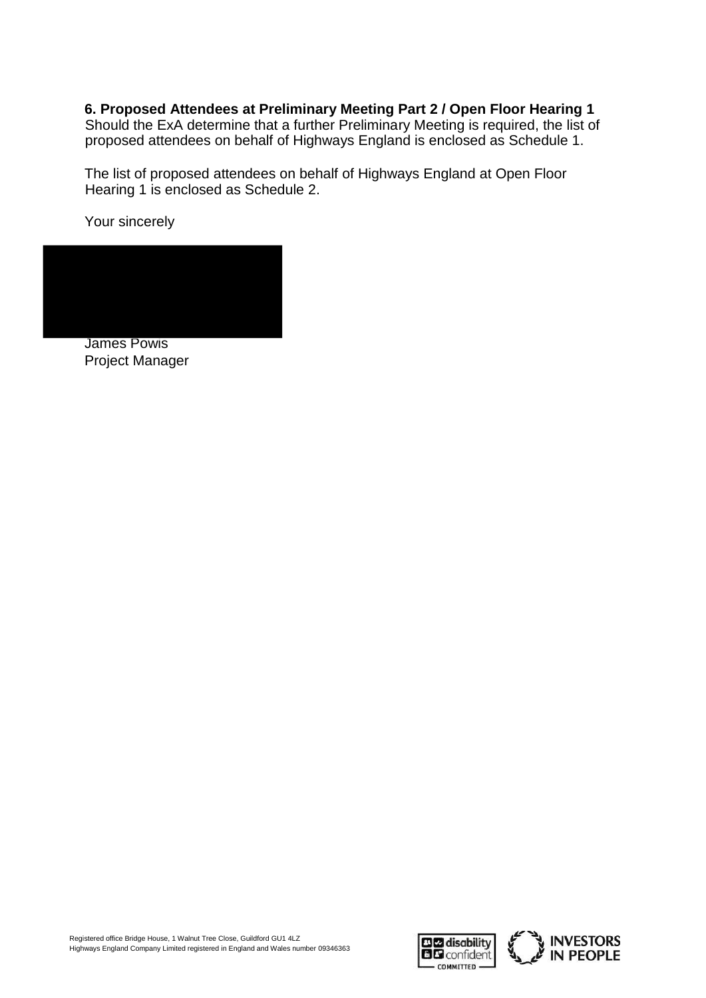**6. Proposed Attendees at Preliminary Meeting Part 2 / Open Floor Hearing 1**

Should the ExA determine that a further Preliminary Meeting is required, the list of proposed attendees on behalf of Highways England is enclosed as Schedule 1.

The list of proposed attendees on behalf of Highways England at Open Floor Hearing 1 is enclosed as Schedule 2.

Your sincerely



Project Manager



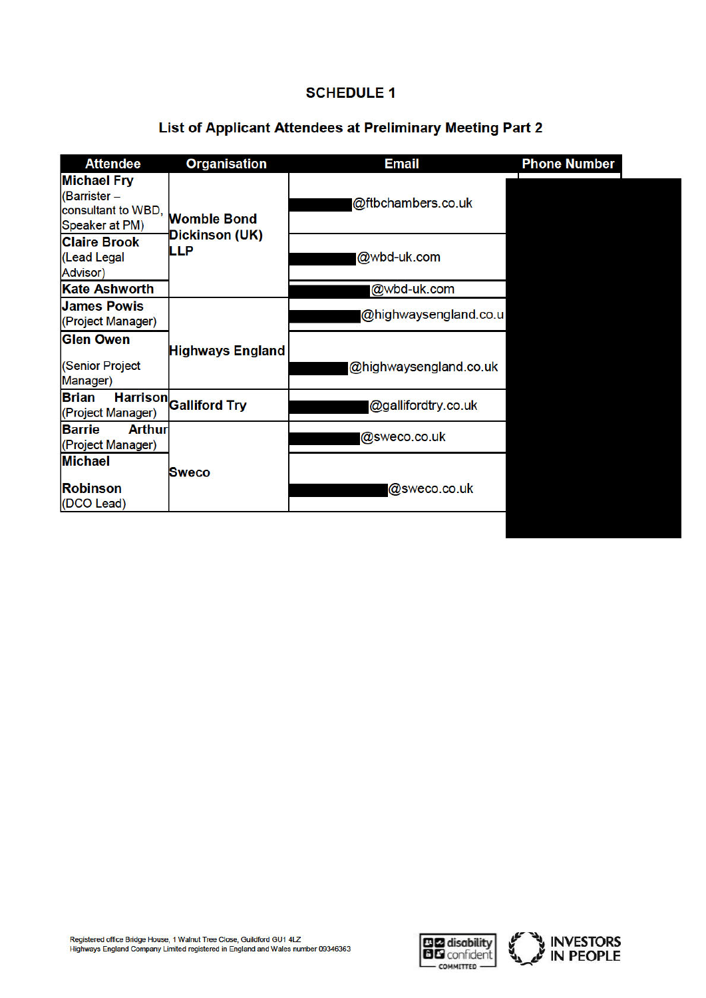#### **SCHEDULE 1**

# List of Applicant Attendees at Preliminary Meeting Part 2

| <b>Attendee</b>                                                            | <b>Organisation</b>           | <b>Email</b>           | <b>Phone Number</b> |
|----------------------------------------------------------------------------|-------------------------------|------------------------|---------------------|
| <b>Michael Fry</b><br>(Barrister -<br>consultant to WBD,<br>Speaker at PM) | <b>Womble Bond</b>            | @ftbchambers.co.uk     |                     |
| <b>Claire Brook</b><br>(Lead Legal<br><b>Advisor</b> )                     | Dickinson (UK)<br>LLP         | @wbd-uk.com            |                     |
| <b>Kate Ashworth</b>                                                       |                               | @wbd-uk.com            |                     |
| <b>James Powis</b><br>(Project Manager)                                    |                               | @highwaysengland.co.u  |                     |
| <b>Glen Owen</b><br>(Senior Project<br>Manager)                            | <b>Highways England</b>       | @highwaysengland.co.uk |                     |
| <b>Brian</b><br>(Project Manager)                                          | <b>Harrison</b> Galliford Try | @gallifordtry.co.uk    |                     |
| <b>Barrie</b><br><b>Arthur</b><br>(Project Manager)                        |                               | @sweco.co.uk           |                     |
| <b>Michael</b><br><b>Robinson</b><br>(DCO Lead)                            | Sweco                         | @sweco.co.uk           |                     |